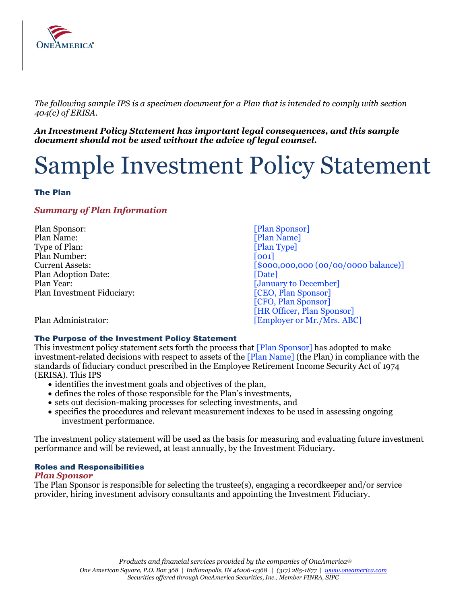

 *The following sample IPS is a specimen document for a Plan that is intended to comply with section 404(c) of ERISA.* 

 *An Investment Policy Statement has important legal consequences, and this sample document should not be used without the advice of legal counsel.* 

# Sample Investment Policy Statement

## The Plan

## *Summary of Plan Information*

Type of Plan: [Plan Type] Plan Year: [January to December] Plan Sponsor: [Plan Sponsor] Plan Name: [Plan Name] Plan Number: [001] Plan Adoption Date: [Date] Plan Investment Fiduciary:  $[CEO, Plan Sponsor]$ 

Current Assets:  $[$000,000,000,000,000]$  (00/00/0000 balance)] [CFO, Plan Sponsor] [HR Officer, Plan Sponsor] Plan Administrator:  $[Emplover or Mr./Mrs. ABC]$ 

## The Purpose of the Investment Policy Statement

This investment policy statement sets forth the process that [Plan Sponsor] has adopted to make investment-related decisions with respect to assets of the [Plan Name] (the Plan) in compliance with the standards of fiduciary conduct prescribed in the Employee Retirement Income Security Act of 1974 (ERISA). This IPS

- identifies the investment goals and objectives of the plan,
- defines the roles of those responsible for the Plan's investments,
- sets out decision-making processes for selecting investments, and
- • specifies the procedures and relevant measurement indexes to be used in assessing ongoing investment performance.

 The investment policy statement will be used as the basis for measuring and evaluating future investment performance and will be reviewed, at least annually, by the Investment Fiduciary.

## Roles and Responsibilities

#### *Plan Sponsor*

 The Plan Sponsor is responsible for selecting the trustee(s), engaging a recordkeeper and/or service provider, hiring investment advisory consultants and appointing the Investment Fiduciary.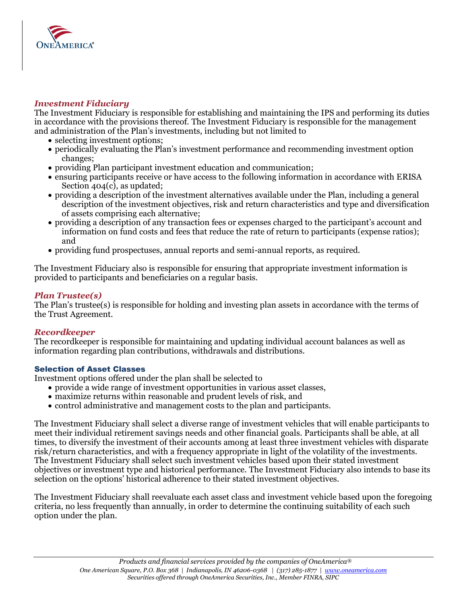

## *Investment Fiduciary*

 The Investment Fiduciary is responsible for establishing and maintaining the IPS and performing its duties in accordance with the provisions thereof. The Investment Fiduciary is responsible for the management and administration of the Plan's investments, including but not limited to

- selecting investment options;
- • periodically evaluating the Plan's investment performance and recommending investment option changes;
- providing Plan participant investment education and communication;
- • ensuring participants receive or have access to the following information in accordance with ERISA Section 404(c), as updated;
- • providing a description of the investment alternatives available under the Plan, including a general description of the investment objectives, risk and return characteristics and type and diversification of assets comprising each alternative;
- • providing a description of any transaction fees or expenses charged to the participant's account and information on fund costs and fees that reduce the rate of return to participants (expense ratios); and
- providing fund prospectuses, annual reports and semi-annual reports, as required.

 The Investment Fiduciary also is responsible for ensuring that appropriate investment information is provided to participants and beneficiaries on a regular basis.

# *Plan Trustee(s)*

 The Plan's trustee(s) is responsible for holding and investing plan assets in accordance with the terms of the Trust Agreement.

# *Recordkeeper*

 The recordkeeper is responsible for maintaining and updating individual account balances as well as information regarding plan contributions, withdrawals and distributions.

## Selection of Asset Classes

Investment options offered under the plan shall be selected to

- provide a wide range of investment opportunities in various asset classes,
- maximize returns within reasonable and prudent levels of risk, and
- control administrative and management costs to the plan and participants.

 The Investment Fiduciary shall select a diverse range of investment vehicles that will enable participants to meet their individual retirement savings needs and other financial goals. Participants shall be able, at all times, to diversify the investment of their accounts among at least three investment vehicles with disparate risk/return characteristics, and with a frequency appropriate in light of the volatility of the investments. The Investment Fiduciary shall select such investment vehicles based upon their stated investment objectives or investment type and historical performance. The Investment Fiduciary also intends to base its selection on the options' historical adherence to their stated investment objectives.

 The Investment Fiduciary shall reevaluate each asset class and investment vehicle based upon the foregoing criteria, no less frequently than annually, in order to determine the continuing suitability of each such option under the plan.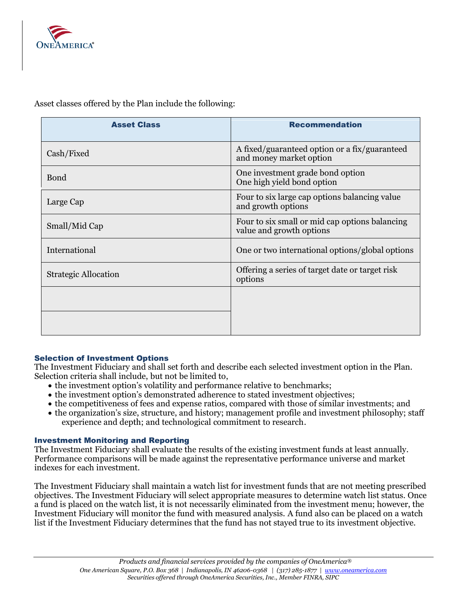

 Cash/Fixed A fixed/guaranteed option or a fix/guaranteed and money market option Bond **Definition**  $\begin{array}{c} \begin{array}{c} \text{One investment grade bond option} \\ \text{One high yield bond option} \end{array} \end{array}$  One high yield bond option Large Cap Four to six large cap options balancing value and growth options Small/Mid Cap Four to six small or mid cap options balancing value and growth options International One or two international options/global options Strategic Allocation Offering a series of target date or target risk Asset Class **Recommendation** options

Asset classes offered by the Plan include the following:

## Selection of Investment Options

 The Investment Fiduciary and shall set forth and describe each selected investment option in the Plan. Selection criteria shall include, but not be limited to,

- the investment option's volatility and performance relative to benchmarks;
- the investment option's demonstrated adherence to stated investment objectives;
- the competitiveness of fees and expense ratios, compared with those of similar investments; and
- • the organization's size, structure, and history; management profile and investment philosophy; staff experience and depth; and technological commitment to research.

## Investment Monitoring and Reporting

 The Investment Fiduciary shall evaluate the results of the existing investment funds at least annually. Performance comparisons will be made against the representative performance universe and market indexes for each investment.

 The Investment Fiduciary shall maintain a watch list for investment funds that are not meeting prescribed objectives. The Investment Fiduciary will select appropriate measures to determine watch list status. Once a fund is placed on the watch list, it is not necessarily eliminated from the investment menu; however, the Investment Fiduciary will monitor the fund with measured analysis. A fund also can be placed on a watch list if the Investment Fiduciary determines that the fund has not stayed true to its investment objective.